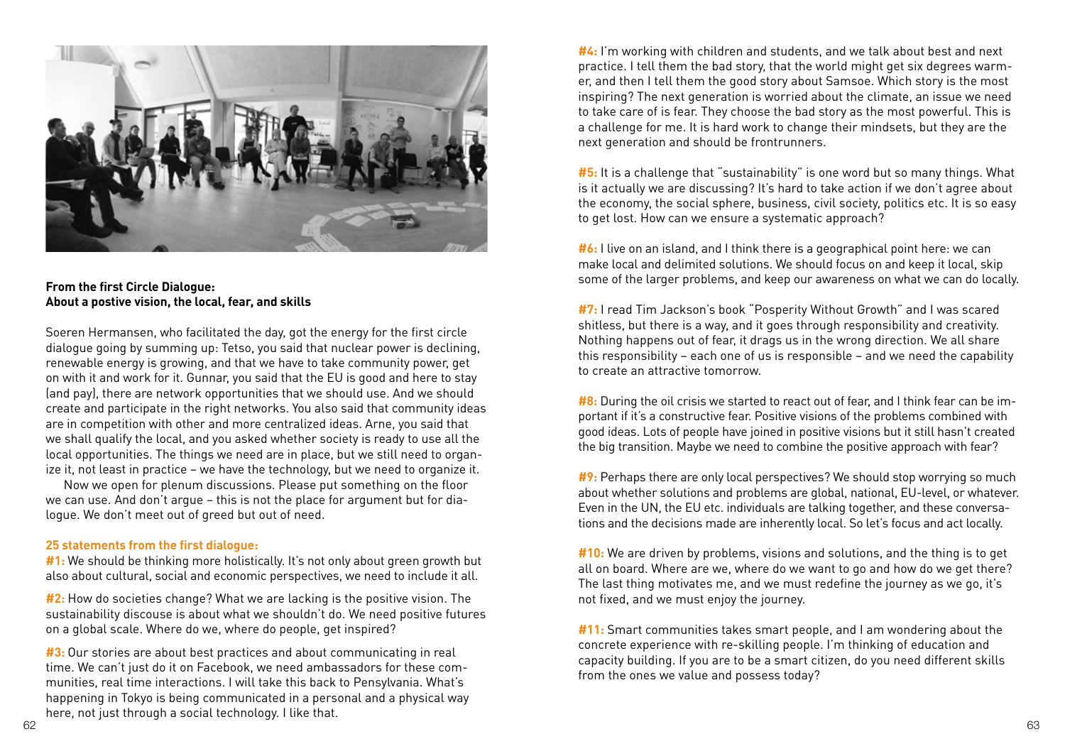

## **From the first Circle Dialogue: About a postive vision, the local, fear, and skills**

Soeren Hermansen, who facilitated the day, got the energy for the first circle dialogue going by summing up: Tetso, you said that nuclear power is declining, renewable energy is growing, and that we have to take community power, get on with it and work for it. Gunnar, you said that the EU is good and here to stay (and pay), there are network opportunities that we should use. And we should create and participate in the right networks. You also said that community ideas are in competition with other and more centralized ideas. Arne, you said that we shall qualify the local, and you asked whether society is ready to use all the local opportunities. The things we need are in place, but we still need to organize it, not least in practice – we have the technology, but we need to organize it.

Now we open for plenum discussions. Please put something on the floor we can use. And don't argue – this is not the place for argument but for dialogue. We don't meet out of greed but out of need.

## **25 statements from the first dialogue:**

**#1:** We should be thinking more holistically. It's not only about green growth but also about cultural, social and economic perspectives, we need to include it all.

**#2:** How do societies change? What we are lacking is the positive vision. The sustainability discouse is about what we shouldn't do. We need positive futures on a global scale. Where do we, where do people, get inspired?

**#3:** Our stories are about best practices and about communicating in real time. We can't just do it on Facebook, we need ambassadors for these communities, real time interactions. I will take this back to Pensylvania. What's happening in Tokyo is being communicated in a personal and a physical way here, not just through a social technology. I like that. 62 and the contract of the contract of the contract of the contract of the contract of the contract of the contract of the contract of the contract of the contract of the contract of the contract of the contract of the con

**#4:** I'm working with children and students, and we talk about best and next practice. I tell them the bad story, that the world might get six degrees warmer, and then I tell them the good story about Samsoe. Which story is the most inspiring? The next generation is worried about the climate, an issue we need to take care of is fear. They choose the bad story as the most powerful. This is a challenge for me. It is hard work to change their mindsets, but they are the next generation and should be frontrunners.

**#5:** It is a challenge that "sustainability" is one word but so many things. What is it actually we are discussing? It's hard to take action if we don't agree about the economy, the social sphere, business, civil society, politics etc. It is so easy to get lost. How can we ensure a systematic approach?

**#6:** I live on an island, and I think there is a geographical point here: we can make local and delimited solutions. We should focus on and keep it local, skip some of the larger problems, and keep our awareness on what we can do locally.

**#7:** I read Tim Jackson's book "Posperity Without Growth" and I was scared shitless, but there is a way, and it goes through responsibility and creativity. Nothing happens out of fear, it drags us in the wrong direction. We all share this responsibility – each one of us is responsible – and we need the capability to create an attractive tomorrow.

**#8:** During the oil crisis we started to react out of fear, and I think fear can be important if it's a constructive fear. Positive visions of the problems combined with good ideas. Lots of people have joined in positive visions but it still hasn't created the big transition. Maybe we need to combine the positive approach with fear?

**#9:** Perhaps there are only local perspectives? We should stop worrying so much about whether solutions and problems are global, national, EU-level, or whatever. Even in the UN, the EU etc. individuals are talking together, and these conversations and the decisions made are inherently local. So let's focus and act locally.

**#10:** We are driven by problems, visions and solutions, and the thing is to get all on board. Where are we, where do we want to go and how do we get there? The last thing motivates me, and we must redefine the journey as we go, it's not fixed, and we must enjoy the journey.

**#11:** Smart communities takes smart people, and I am wondering about the concrete experience with re-skilling people. I'm thinking of education and capacity building. If you are to be a smart citizen, do you need different skills from the ones we value and possess today?